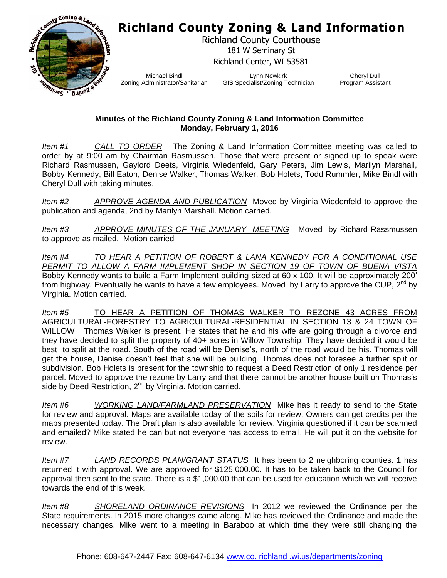## **Richland County Zoning & Land Information**



Richland County Courthouse 181 W Seminary St Richland Center, WI 53581

Michael Bindl Zoning Administrator/Sanitarian

Lynn Newkirk GIS Specialist/Zoning Technician

Cheryl Dull Program Assistant

## **Minutes of the Richland County Zoning & Land Information Committee Monday, February 1, 2016**

*Item #1 CALL TO ORDER* The Zoning & Land Information Committee meeting was called to order by at 9:00 am by Chairman Rasmussen. Those that were present or signed up to speak were Richard Rasmussen, Gaylord Deets, Virginia Wiedenfeld, Gary Peters, Jim Lewis, Marilyn Marshall, Bobby Kennedy, Bill Eaton, Denise Walker, Thomas Walker, Bob Holets, Todd Rummler, Mike Bindl with Cheryl Dull with taking minutes.

*Item #2 APPROVE AGENDA AND PUBLICATION* Moved by Virginia Wiedenfeld to approve the publication and agenda, 2nd by Marilyn Marshall. Motion carried.

*Item #3 APPROVE MINUTES OF THE JANUARY MEETING* Moved by Richard Rassmussen to approve as mailed. Motion carried

*Item #4 TO HEAR A PETITION OF ROBERT & LANA KENNEDY FOR A CONDITIONAL USE PERMIT TO ALLOW A FARM IMPLEMENT SHOP IN SECTION 19 OF TOWN OF BUENA VISTA* Bobby Kennedy wants to build a Farm Implement building sized at 60 x 100. It will be approximately 200' from highway. Eventually he wants to have a few employees. Moved by Larry to approve the CUP,  $2^{nd}$  by Virginia. Motion carried.

*Item #5* TO HEAR A PETITION OF THOMAS WALKER TO REZONE 43 ACRES FROM AGRICULTURAL-FORESTRY TO AGRICULTURAL-RESIDENTIAL IN SECTION 13 & 24 TOWN OF WILLOW Thomas Walker is present. He states that he and his wife are going through a divorce and they have decided to split the property of 40+ acres in Willow Township. They have decided it would be best to split at the road. South of the road will be Denise's, north of the road would be his. Thomas will get the house, Denise doesn't feel that she will be building. Thomas does not foresee a further split or subdivision. Bob Holets is present for the township to request a Deed Restriction of only 1 residence per parcel. Moved to approve the rezone by Larry and that there cannot be another house built on Thomas's side by Deed Restriction, 2<sup>nd</sup> by Virginia. Motion carried.

*Item #6 WORKING LAND/FARMLAND PRESERVATION* Mike has it ready to send to the State for review and approval. Maps are available today of the soils for review. Owners can get credits per the maps presented today. The Draft plan is also available for review. Virginia questioned if it can be scanned and emailed? Mike stated he can but not everyone has access to email. He will put it on the website for review.

*Item #7 LAND RECORDS PLAN/GRANT STATUS* It has been to 2 neighboring counties. 1 has returned it with approval. We are approved for \$125,000.00. It has to be taken back to the Council for approval then sent to the state. There is a \$1,000.00 that can be used for education which we will receive towards the end of this week.

*Item #8 SHORELAND ORDINANCE REVISIONS* In 2012 we reviewed the Ordinance per the State requirements. In 2015 more changes came along. Mike has reviewed the Ordinance and made the necessary changes. Mike went to a meeting in Baraboo at which time they were still changing the